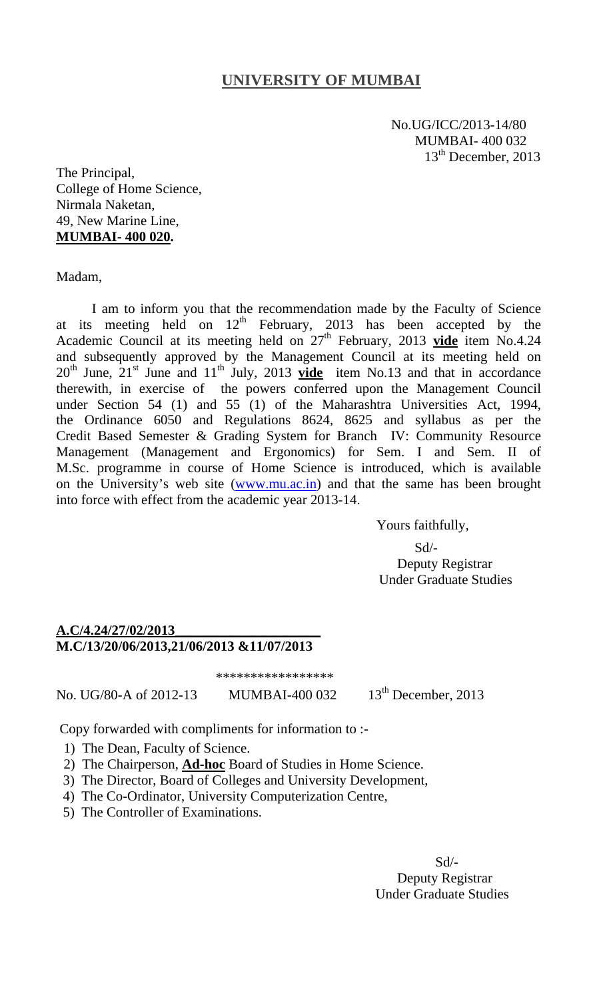## **UNIVERSITY OF MUMBAI**

 No.UG/ICC/2013-14/80 MUMBAI- 400 032 13<sup>th</sup> December, 2013

The Principal, College of Home Science, Nirmala Naketan, 49, New Marine Line, **MUMBAI- 400 020.** 

Madam,

I am to inform you that the recommendation made by the Faculty of Science at its meeting held on  $12<sup>th</sup>$  February, 2013 has been accepted by the Academic Council at its meeting held on  $27<sup>th</sup>$  February, 2013 **vide** item No.4.24 and subsequently approved by the Management Council at its meeting held on  $20^{th}$  June,  $21^{st}$  June and  $11^{th}$  July, 2013  $\overrightarrow{video}$  item No.13 and that in accordance therewith, in exercise of the powers conferred upon the Management Council under Section 54 (1) and 55 (1) of the Maharashtra Universities Act, 1994, the Ordinance 6050 and Regulations 8624, 8625 and syllabus as per the Credit Based Semester & Grading System for Branch IV: Community Resource Management (Management and Ergonomics) for Sem. I and Sem. II of M.Sc. programme in course of Home Science is introduced, which is available on the University's web site (www.mu.ac.in) and that the same has been brought into force with effect from the academic year 2013-14.

Yours faithfully,

 Sd/- Deputy Registrar Under Graduate Studies

## **A.C/4.24/27/02/2013\_\_\_\_\_\_\_\_\_\_\_\_\_\_\_\_\_\_\_\_\_ M.C/13/20/06/2013,21/06/2013 &11/07/2013**

\*\*\*\*\*\*\*\*\*\*\*\*\*\*\*\*\*

No. UG/80-A of 2012-13 MUMBAI-400 032 13<sup>th</sup> December, 2013

Copy forwarded with compliments for information to :- 1) The Dean, Faculty of Science.

- 2) The Chairperson, **Ad-hoc** Board of Studies in Home Science.
- 3) The Director, Board of Colleges and University Development,
- 4) The Co-Ordinator, University Computerization Centre,
- 5) The Controller of Examinations.

 $Sd$ <sup>-</sup> Deputy Registrar Under Graduate Studies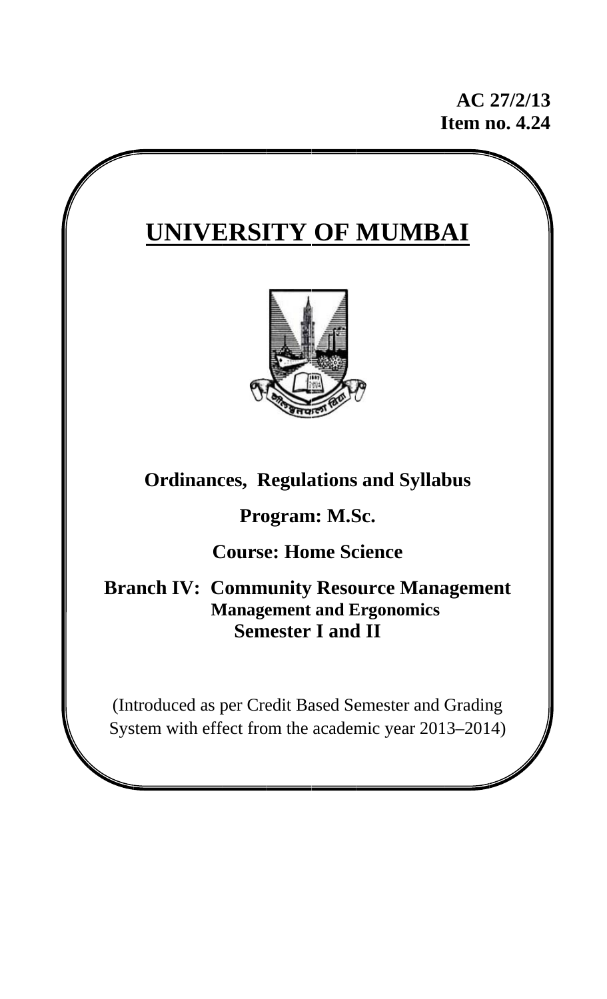**I Item n no. 4.2 24 AC 27/2/1 13** 

# $\frac{1}{\sqrt{2}}$



## **Ordinances, Regulations and Syllabus**

## **Program: M.Sc.**

## **Course: Home Science**

**Branch IV: Community Resource Management M Manage ement and E Ergono omics Semester I and II** 

(Introduced as per Credit Based Semester and Grading System with effect from the academic year 2013–2014)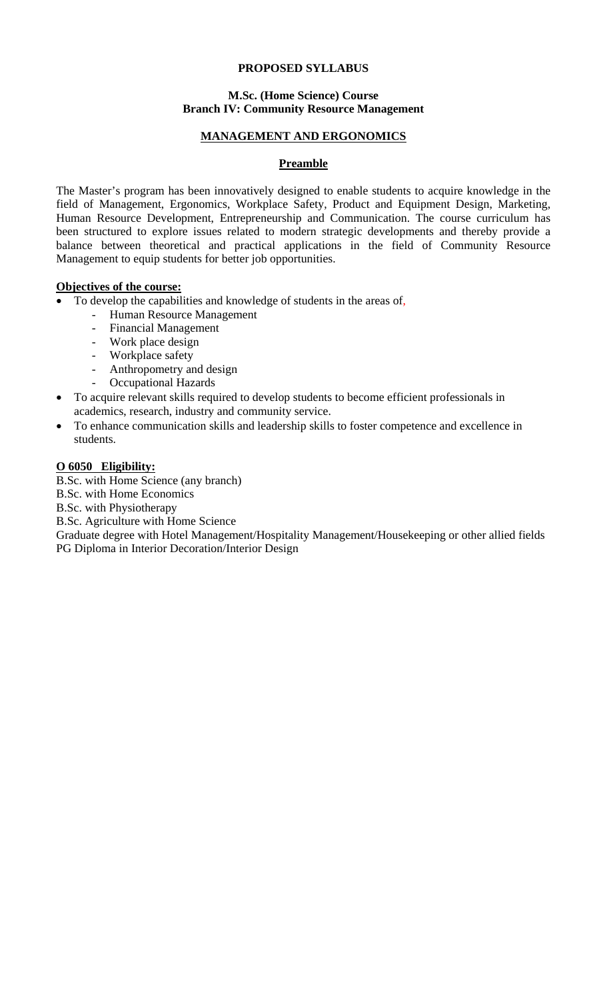## **PROPOSED SYLLABUS**

## **M.Sc. (Home Science) Course Branch IV: Community Resource Management**

## **MANAGEMENT AND ERGONOMICS**

## **Preamble**

The Master's program has been innovatively designed to enable students to acquire knowledge in the field of Management, Ergonomics, Workplace Safety, Product and Equipment Design, Marketing, Human Resource Development, Entrepreneurship and Communication. The course curriculum has been structured to explore issues related to modern strategic developments and thereby provide a balance between theoretical and practical applications in the field of Community Resource Management to equip students for better job opportunities.

## **Objectives of the course:**

- To develop the capabilities and knowledge of students in the areas of,
	- Human Resource Management
	- Financial Management
	- Work place design
	- Workplace safety
	- Anthropometry and design
	- Occupational Hazards
- To acquire relevant skills required to develop students to become efficient professionals in academics, research, industry and community service.
- To enhance communication skills and leadership skills to foster competence and excellence in students.

## **O 6050 Eligibility:**

B.Sc. with Home Science (any branch)

B.Sc. with Home Economics

B.Sc. with Physiotherapy

B.Sc. Agriculture with Home Science

Graduate degree with Hotel Management/Hospitality Management/Housekeeping or other allied fields PG Diploma in Interior Decoration/Interior Design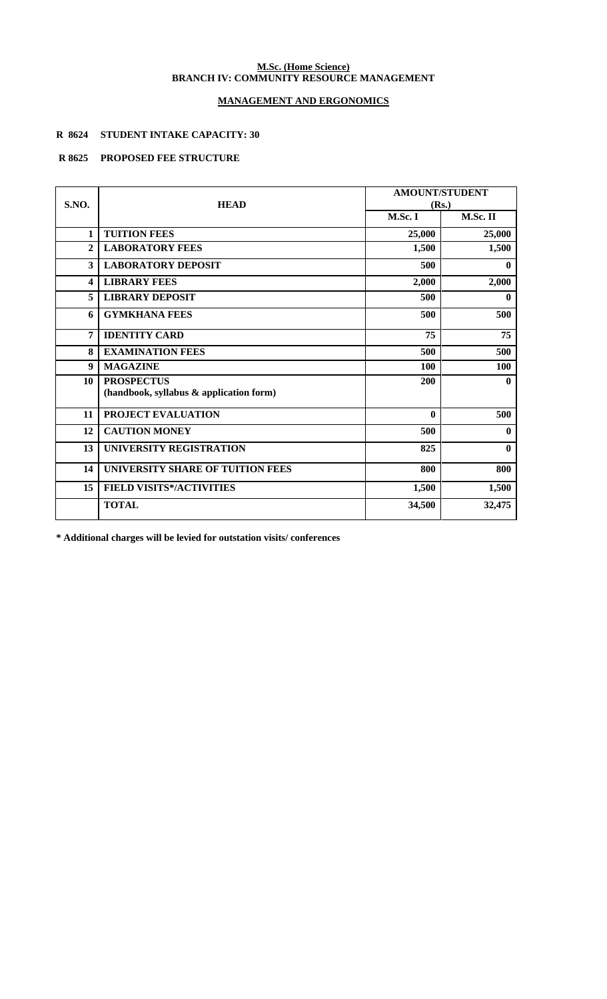#### **M.Sc. (Home Science) BRANCH IV: COMMUNITY RESOURCE MANAGEMENT**

## **MANAGEMENT AND ERGONOMICS**

## **R 8624 STUDENT INTAKE CAPACITY: 30**

## **R 8625 PROPOSED FEE STRUCTURE**

| S.NO.        | <b>HEAD</b>                                                  | <b>AMOUNT/STUDENT</b><br>(Rs.) |              |
|--------------|--------------------------------------------------------------|--------------------------------|--------------|
|              |                                                              | M.Sc. I                        | M.Sc. II     |
| 1            | <b>TUITION FEES</b>                                          | 25,000                         | 25,000       |
| $\mathbf{2}$ | <b>LABORATORY FEES</b>                                       | 1,500                          | 1,500        |
| 3            | <b>LABORATORY DEPOSIT</b>                                    | 500                            | $\bf{0}$     |
| 4            | <b>LIBRARY FEES</b>                                          | 2,000                          | 2,000        |
| 5            | <b>LIBRARY DEPOSIT</b>                                       | 500                            | $\mathbf{0}$ |
| 6            | <b>GYMKHANA FEES</b>                                         | 500                            | 500          |
| 7            | <b>IDENTITY CARD</b>                                         | 75                             | 75           |
| 8            | <b>EXAMINATION FEES</b>                                      | 500                            | 500          |
| 9            | <b>MAGAZINE</b>                                              | 100                            | 100          |
| 10           | <b>PROSPECTUS</b><br>(handbook, syllabus & application form) | 200                            | $\mathbf{0}$ |
| 11           | PROJECT EVALUATION                                           | $\mathbf{0}$                   | 500          |
| 12           | <b>CAUTION MONEY</b>                                         | 500                            | $\bf{0}$     |
| 13           | UNIVERSITY REGISTRATION                                      | 825                            | $\mathbf{0}$ |
| 14           | UNIVERSITY SHARE OF TUITION FEES                             | 800                            | 800          |
| 15           | <b>FIELD VISITS*/ACTIVITIES</b>                              | 1,500                          | 1,500        |
|              | <b>TOTAL</b>                                                 | 34,500                         | 32,475       |

**\* Additional charges will be levied for outstation visits/ conferences**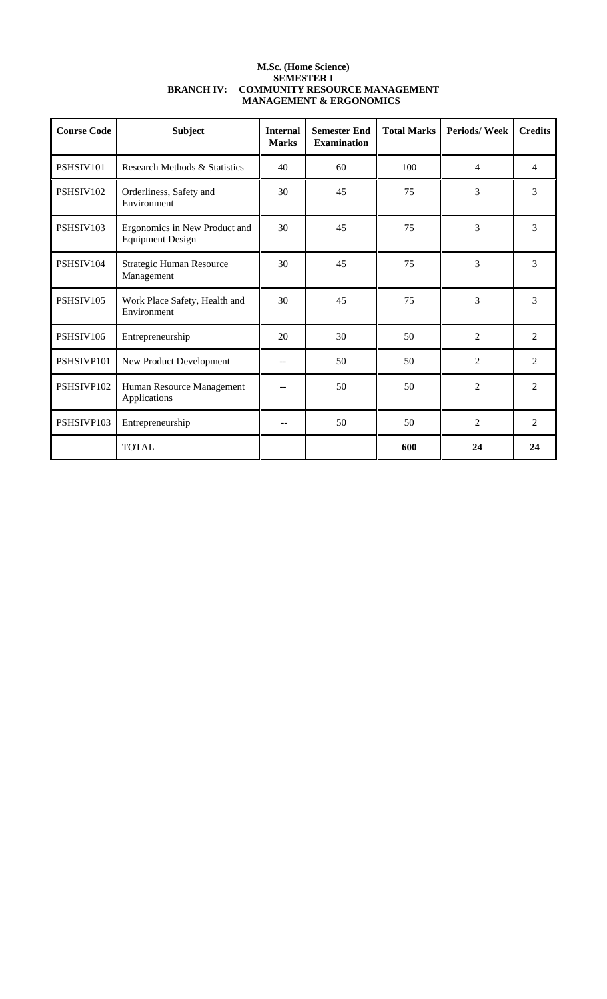| <b>M.Sc. (Home Science)</b>              |
|------------------------------------------|
| <b>SEMESTER I</b>                        |
| BRANCH IV: COMMUNITY RESOURCE MANAGEMENT |
| <b>MANAGEMENT &amp; ERGONOMICS</b>       |

| <b>Course Code</b> | <b>Subject</b>                                           | <b>Internal</b><br><b>Marks</b> | <b>Semester End</b><br><b>Examination</b> | <b>Total Marks</b> | <b>Periods/Week</b> | <b>Credits</b> |
|--------------------|----------------------------------------------------------|---------------------------------|-------------------------------------------|--------------------|---------------------|----------------|
| PSHSIV101          | Research Methods & Statistics                            | 40                              | 60                                        | 100                | 4                   | $\overline{4}$ |
| PSHSIV102          | Orderliness, Safety and<br>Environment                   | 30                              | 45                                        | 75                 | 3                   | 3              |
| PSHSIV103          | Ergonomics in New Product and<br><b>Equipment Design</b> | 30                              | 45                                        | 75                 | 3                   | 3              |
| PSHSIV104          | Strategic Human Resource<br>Management                   | 30                              | 45                                        | 75                 | 3                   | 3              |
| PSHSIV105          | Work Place Safety, Health and<br>Environment             | 30                              | 45                                        | 75                 | 3                   | 3              |
| PSHSIV106          | Entrepreneurship                                         | 20                              | 30                                        | 50                 | $\overline{2}$      | 2              |
| PSHSIVP101         | New Product Development                                  | --                              | 50                                        | 50                 | $\overline{2}$      | 2              |
| PSHSIVP102         | Human Resource Management<br>Applications                |                                 | 50                                        | 50                 | $\overline{c}$      | 2              |
| PSHSIVP103         | Entrepreneurship                                         | --                              | 50                                        | 50                 | 2                   | 2              |
|                    | <b>TOTAL</b>                                             |                                 |                                           | 600                | 24                  | 24             |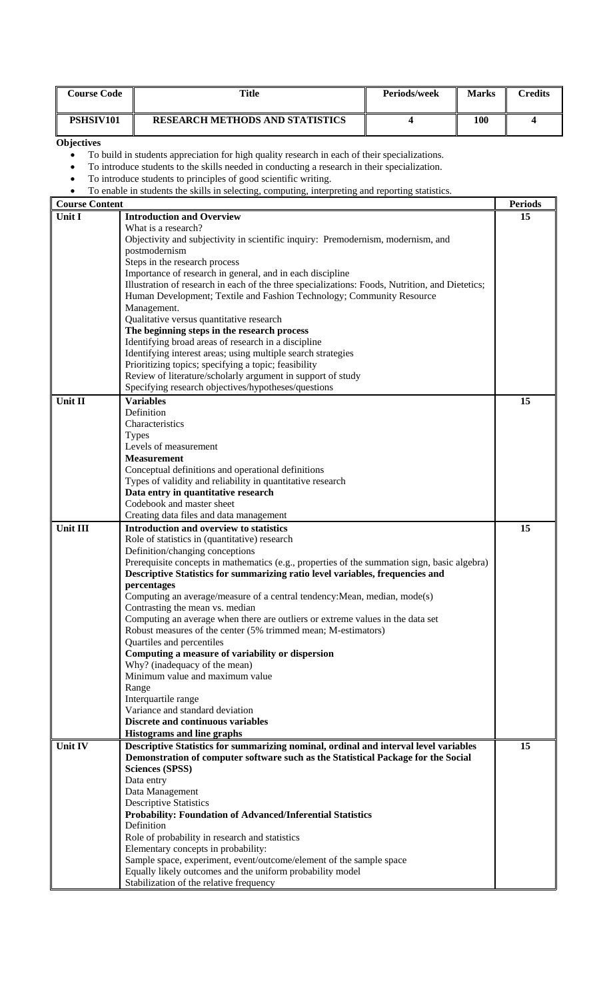| <b>Course Code</b>                                                                                                                                                                                                                                                                                            | <b>Title</b>                                                                                                                                                                                                                                                                                                                                                                                                                                                                                                                                                                                                                                                                                                                                                                                                                                                                                            | Periods/week | <b>Marks</b> | <b>Credits</b> |  |
|---------------------------------------------------------------------------------------------------------------------------------------------------------------------------------------------------------------------------------------------------------------------------------------------------------------|---------------------------------------------------------------------------------------------------------------------------------------------------------------------------------------------------------------------------------------------------------------------------------------------------------------------------------------------------------------------------------------------------------------------------------------------------------------------------------------------------------------------------------------------------------------------------------------------------------------------------------------------------------------------------------------------------------------------------------------------------------------------------------------------------------------------------------------------------------------------------------------------------------|--------------|--------------|----------------|--|
| PSHSIV101                                                                                                                                                                                                                                                                                                     | <b>RESEARCH METHODS AND STATISTICS</b>                                                                                                                                                                                                                                                                                                                                                                                                                                                                                                                                                                                                                                                                                                                                                                                                                                                                  | 4            | <b>100</b>   | 4              |  |
| Objectives<br>To build in students appreciation for high quality research in each of their specializations.<br>$\bullet$<br>To introduce students to the skills needed in conducting a research in their specialization.<br>٠<br>To introduce students to principles of good scientific writing.<br>$\bullet$ |                                                                                                                                                                                                                                                                                                                                                                                                                                                                                                                                                                                                                                                                                                                                                                                                                                                                                                         |              |              |                |  |
|                                                                                                                                                                                                                                                                                                               | To enable in students the skills in selecting, computing, interpreting and reporting statistics.                                                                                                                                                                                                                                                                                                                                                                                                                                                                                                                                                                                                                                                                                                                                                                                                        |              |              | <b>Periods</b> |  |
| <b>Course Content</b><br>Unit I                                                                                                                                                                                                                                                                               | <b>Introduction and Overview</b>                                                                                                                                                                                                                                                                                                                                                                                                                                                                                                                                                                                                                                                                                                                                                                                                                                                                        |              |              | 15             |  |
|                                                                                                                                                                                                                                                                                                               | What is a research?<br>Objectivity and subjectivity in scientific inquiry: Premodernism, modernism, and<br>postmodernism<br>Steps in the research process<br>Importance of research in general, and in each discipline<br>Illustration of research in each of the three specializations: Foods, Nutrition, and Dietetics;<br>Human Development; Textile and Fashion Technology; Community Resource<br>Management.<br>Qualitative versus quantitative research<br>The beginning steps in the research process<br>Identifying broad areas of research in a discipline<br>Identifying interest areas; using multiple search strategies<br>Prioritizing topics; specifying a topic; feasibility                                                                                                                                                                                                             |              |              |                |  |
|                                                                                                                                                                                                                                                                                                               | Review of literature/scholarly argument in support of study                                                                                                                                                                                                                                                                                                                                                                                                                                                                                                                                                                                                                                                                                                                                                                                                                                             |              |              |                |  |
|                                                                                                                                                                                                                                                                                                               | Specifying research objectives/hypotheses/questions                                                                                                                                                                                                                                                                                                                                                                                                                                                                                                                                                                                                                                                                                                                                                                                                                                                     |              |              |                |  |
| Unit II                                                                                                                                                                                                                                                                                                       | <b>Variables</b><br>Definition<br>Characteristics<br><b>Types</b><br>Levels of measurement<br><b>Measurement</b><br>Conceptual definitions and operational definitions<br>Types of validity and reliability in quantitative research<br>Data entry in quantitative research<br>Codebook and master sheet<br>Creating data files and data management                                                                                                                                                                                                                                                                                                                                                                                                                                                                                                                                                     |              |              | 15             |  |
| Unit III                                                                                                                                                                                                                                                                                                      | Introduction and overview to statistics<br>Role of statistics in (quantitative) research<br>Definition/changing conceptions<br>Prerequisite concepts in mathematics (e.g., properties of the summation sign, basic algebra)<br>Descriptive Statistics for summarizing ratio level variables, frequencies and<br>percentages<br>Computing an average/measure of a central tendency: Mean, median, mode(s)<br>Contrasting the mean vs. median<br>Computing an average when there are outliers or extreme values in the data set<br>Robust measures of the center (5% trimmed mean; M-estimators)<br>Quartiles and percentiles<br>Computing a measure of variability or dispersion<br>Why? (inadequacy of the mean)<br>Minimum value and maximum value<br>Range<br>Interquartile range<br>Variance and standard deviation<br><b>Discrete and continuous variables</b><br><b>Histograms and line graphs</b> |              |              | 15             |  |
| Unit IV                                                                                                                                                                                                                                                                                                       | Descriptive Statistics for summarizing nominal, ordinal and interval level variables<br>Demonstration of computer software such as the Statistical Package for the Social<br><b>Sciences (SPSS)</b><br>Data entry<br>Data Management<br><b>Descriptive Statistics</b><br><b>Probability: Foundation of Advanced/Inferential Statistics</b><br>Definition<br>Role of probability in research and statistics<br>Elementary concepts in probability:<br>Sample space, experiment, event/outcome/element of the sample space<br>Equally likely outcomes and the uniform probability model<br>Stabilization of the relative frequency                                                                                                                                                                                                                                                                        |              |              | 15             |  |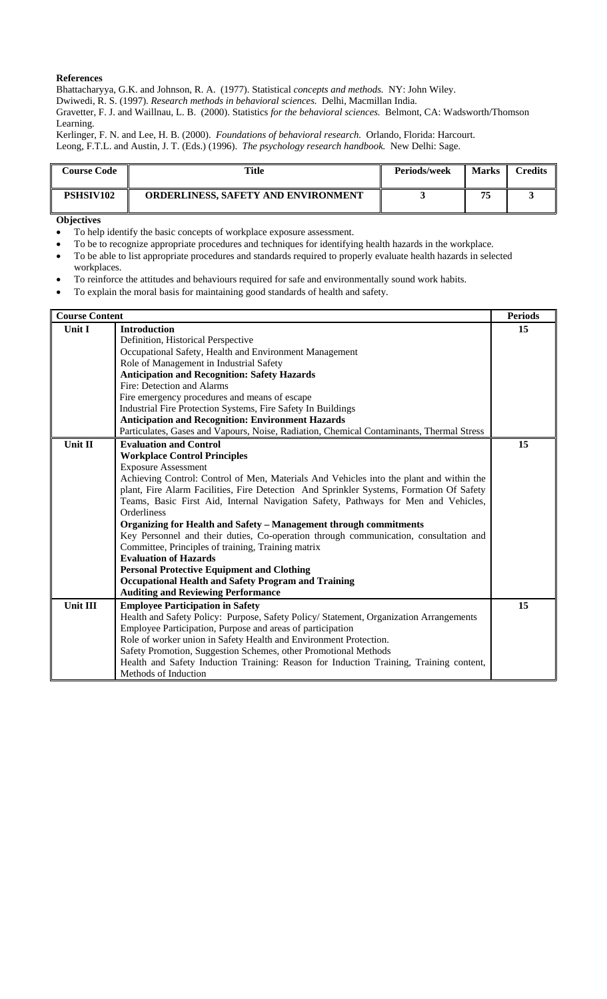Bhattacharyya, G.K. and Johnson, R. A. (1977). Statistical *concepts and methods.* NY: John Wiley.

Dwiwedi, R. S. (1997). *Research methods in behavioral sciences.* Delhi, Macmillan India.

Gravetter, F. J. and Waillnau, L. B. (2000). Statistics *for the behavioral sciences.* Belmont, CA: Wadsworth/Thomson Learning.

Kerlinger, F. N. and Lee, H. B. (2000). *Foundations of behavioral research.* Orlando, Florida: Harcourt. Leong, F.T.L. and Austin, J. T. (Eds.) (1996). *The psychology research handbook.* New Delhi: Sage.

| <b>Course Code</b> | Title                                      | Periods/week | <b>Marks</b> | $C$ redits |
|--------------------|--------------------------------------------|--------------|--------------|------------|
| <b>PSHSIV102</b>   | <b>ORDERLINESS, SAFETY AND ENVIRONMENT</b> |              | 75           |            |

#### **Objectives**

- To help identify the basic concepts of workplace exposure assessment.
- To be to recognize appropriate procedures and techniques for identifying health hazards in the workplace.
- To be able to list appropriate procedures and standards required to properly evaluate health hazards in selected workplaces.
- To reinforce the attitudes and behaviours required for safe and environmentally sound work habits.
- To explain the moral basis for maintaining good standards of health and safety.

| <b>Course Content</b> |                                                                                                   | <b>Periods</b> |
|-----------------------|---------------------------------------------------------------------------------------------------|----------------|
| Unit I                | <b>Introduction</b>                                                                               | 15             |
|                       | Definition, Historical Perspective                                                                |                |
|                       | Occupational Safety, Health and Environment Management                                            |                |
|                       | Role of Management in Industrial Safety                                                           |                |
|                       | <b>Anticipation and Recognition: Safety Hazards</b>                                               |                |
|                       | Fire: Detection and Alarms                                                                        |                |
|                       | Fire emergency procedures and means of escape                                                     |                |
|                       | Industrial Fire Protection Systems, Fire Safety In Buildings                                      |                |
|                       | <b>Anticipation and Recognition: Environment Hazards</b>                                          |                |
|                       | Particulates, Gases and Vapours, Noise, Radiation, Chemical Contaminants, Thermal Stress          |                |
| <b>Unit II</b>        | <b>Evaluation and Control</b>                                                                     | 15             |
|                       | <b>Workplace Control Principles</b>                                                               |                |
|                       | <b>Exposure Assessment</b>                                                                        |                |
|                       | Achieving Control: Control of Men, Materials And Vehicles into the plant and within the           |                |
|                       | plant, Fire Alarm Facilities, Fire Detection And Sprinkler Systems, Formation Of Safety           |                |
|                       | Teams, Basic First Aid, Internal Navigation Safety, Pathways for Men and Vehicles,<br>Orderliness |                |
|                       | Organizing for Health and Safety - Management through commitments                                 |                |
|                       | Key Personnel and their duties, Co-operation through communication, consultation and              |                |
|                       | Committee, Principles of training, Training matrix                                                |                |
|                       | <b>Evaluation of Hazards</b>                                                                      |                |
|                       | <b>Personal Protective Equipment and Clothing</b>                                                 |                |
|                       | <b>Occupational Health and Safety Program and Training</b>                                        |                |
|                       | <b>Auditing and Reviewing Performance</b>                                                         |                |
| <b>Unit III</b>       | <b>Employee Participation in Safety</b>                                                           | 15             |
|                       | Health and Safety Policy: Purpose, Safety Policy/ Statement, Organization Arrangements            |                |
|                       | Employee Participation, Purpose and areas of participation                                        |                |
|                       | Role of worker union in Safety Health and Environment Protection.                                 |                |
|                       | Safety Promotion, Suggestion Schemes, other Promotional Methods                                   |                |
|                       | Health and Safety Induction Training: Reason for Induction Training, Training content,            |                |
|                       | Methods of Induction                                                                              |                |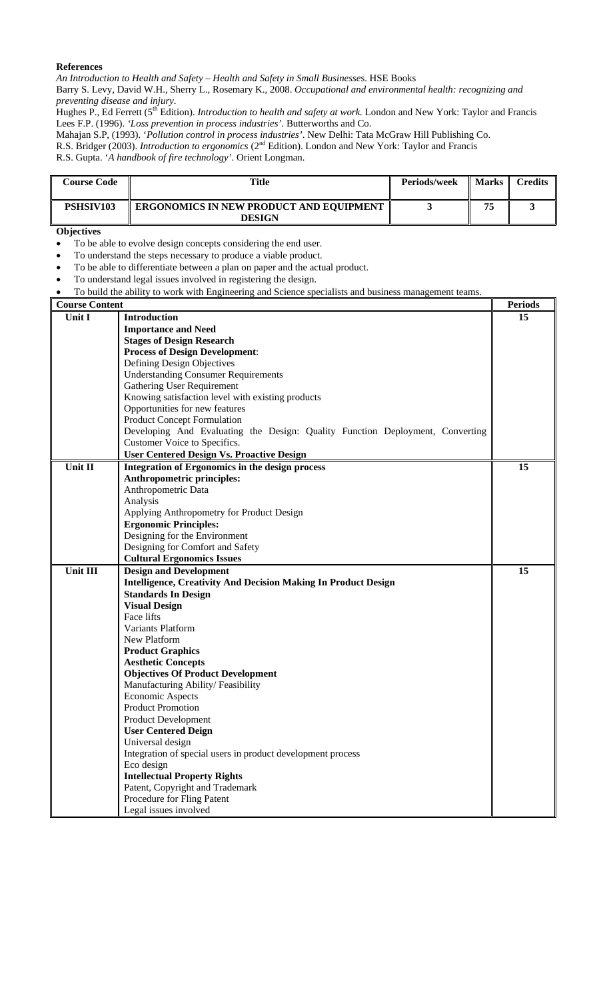*An Introduction to Health and Safety – Health and Safety in Small Businesse*s. HSE Books Barry S. Levy, David W.H., Sherry L., Rosemary K., 2008. *Occupational and environmental health: recognizing and preventing disease and injury*.

Hughes P., Ed Ferrett (5<sup>th</sup> Edition). *Introduction to health and safety at work*. London and New York: Taylor and Francis Lees F.P. (1996). *'Loss prevention in process industries'*. Butterworths and Co.

Mahajan S.P, (1993). '*Pollution control in process industries'*. New Delhi: Tata McGraw Hill Publishing Co. R.S. Bridger (2003). *Introduction to ergonomics* (2<sup>nd</sup> Edition). London and New York: Taylor and Francis

R.S. Gupta. '*A handbook of fire technology'*. Orient Longman.

| <b>Course Code</b> | Title                                                           | <b>Periods/week</b> | <b>Marks</b> | Credits |
|--------------------|-----------------------------------------------------------------|---------------------|--------------|---------|
| PSHSIV103          | <b>ERGONOMICS IN NEW PRODUCT AND EQUIPMENT</b><br><b>DESIGN</b> |                     | 75           |         |

#### **Objectives**

To be able to evolve design concepts considering the end user.

• To understand the steps necessary to produce a viable product.

To be able to differentiate between a plan on paper and the actual product.

- To understand legal issues involved in registering the design.
- To build the ability to work with Engineering and Science specialists and business management teams.

#### **Course Content Periods**  Periods **Periods Periods Unit I Introduction Importance and Need Stages of Design Research Process of Design Development**: Defining Design Objectives Understanding Consumer Requirements Gathering User Requirement Knowing satisfaction level with existing products Opportunities for new features Product Concept Formulation Developing And Evaluating the Design: Quality Function Deployment, Converting Customer Voice to Specifics. **User Centered Design Vs. Proactive Design 15**  Unit II **Integration of Ergonomics in the design process Anthropometric principles:**  Anthropometric Data Analysis Applying Anthropometry for Product Design **Ergonomic Principles:**  Designing for the Environment Designing for Comfort and Safety **Cultural Ergonomics Issues 15 Unit III Design and Development Intelligence, Creativity And Decision Making In Product Design Standards In Design Visual Design**  Face lifts Variants Platform New Platform **Product Graphics Aesthetic Concepts Objectives Of Product Development**  Manufacturing Ability/ Feasibility Economic Aspects Product Promotion Product Development **User Centered Deign**  Universal design Integration of special users in product development process Eco design **Intellectual Property Rights**  Patent, Copyright and Trademark Procedure for Fling Patent Legal issues involved **15**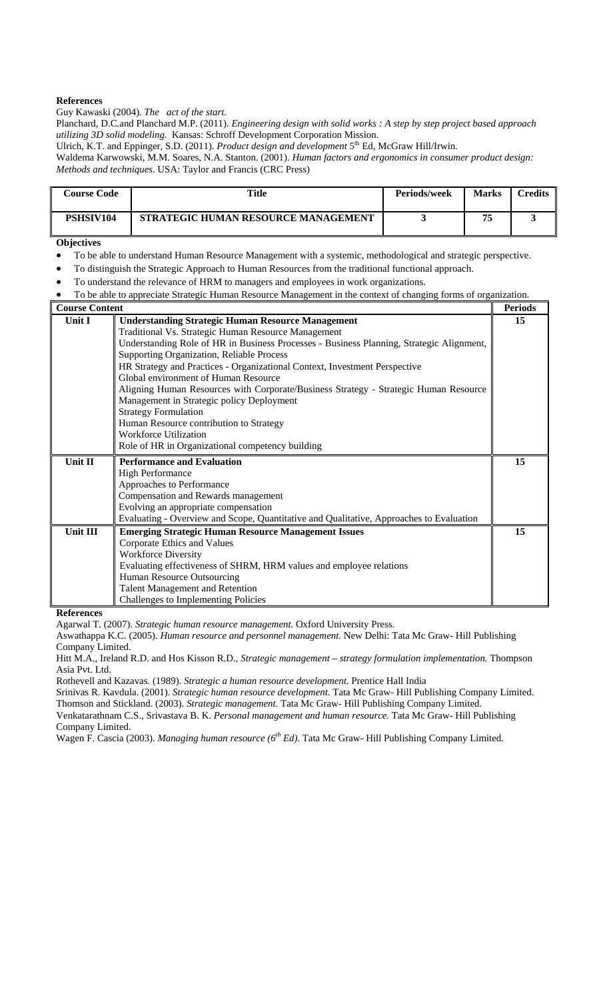Guy Kawaski (2004). *The act of the start.*

Planchard, D.C.and Planchard M.P. (2011). *Engineering design with solid works : A step by step project based approach utilizing 3D solid modeling.* Kansas: Schroff Development Corporation Mission.

Ulrich, K.T. and Eppinger, S.D. (2011). *Product design and development* 5<sup>th</sup> Ed, McGraw Hill/Irwin.

Waldema Karwowski, M.M. Soares, N.A. Stanton. (2001). *Human factors and ergonomics in consumer product design: Methods and techniques*. USA: Taylor and Francis (CRC Press)

| <b>Course Code</b> | Title                               | <b>Periods/week</b> | <b>Marks</b> | $\Gamma$ redits |
|--------------------|-------------------------------------|---------------------|--------------|-----------------|
| <b>PSHSIV104</b>   | STRATEGIC HUMAN RESOURCE MANAGEMENT |                     | 75           |                 |

#### **Objectives**

- To be able to understand Human Resource Management with a systemic, methodological and strategic perspective.
- To distinguish the Strategic Approach to Human Resources from the traditional functional approach.
- To understand the relevance of HRM to managers and employees in work organizations.
- To be able to appreciate Strategic Human Resource Management in the context of changing forms of organization.

| <b>Course Content</b> |                                                                                          | <b>Periods</b> |
|-----------------------|------------------------------------------------------------------------------------------|----------------|
| Unit I                | <b>Understanding Strategic Human Resource Management</b>                                 | 15             |
|                       | Traditional Vs. Strategic Human Resource Management                                      |                |
|                       | Understanding Role of HR in Business Processes - Business Planning, Strategic Alignment, |                |
|                       | Supporting Organization, Reliable Process                                                |                |
|                       | HR Strategy and Practices - Organizational Context, Investment Perspective               |                |
|                       | Global environment of Human Resource                                                     |                |
|                       | Aligning Human Resources with Corporate/Business Strategy - Strategic Human Resource     |                |
|                       | Management in Strategic policy Deployment                                                |                |
|                       | <b>Strategy Formulation</b>                                                              |                |
|                       | Human Resource contribution to Strategy                                                  |                |
|                       | <b>Workforce Utilization</b>                                                             |                |
|                       | Role of HR in Organizational competency building                                         |                |
| Unit II               | <b>Performance and Evaluation</b>                                                        | 15             |
|                       | <b>High Performance</b>                                                                  |                |
|                       | Approaches to Performance                                                                |                |
|                       | Compensation and Rewards management                                                      |                |
|                       | Evolving an appropriate compensation                                                     |                |
|                       | Evaluating - Overview and Scope, Quantitative and Qualitative, Approaches to Evaluation  |                |
| Unit III              | <b>Emerging Strategic Human Resource Management Issues</b>                               | 15             |
|                       | Corporate Ethics and Values                                                              |                |
|                       | <b>Workforce Diversity</b>                                                               |                |
|                       | Evaluating effectiveness of SHRM, HRM values and employee relations                      |                |
|                       | Human Resource Outsourcing                                                               |                |
|                       | <b>Talent Management and Retention</b>                                                   |                |
|                       | Challenges to Implementing Policies                                                      |                |

**References** 

Agarwal T. (2007). *Strategic human resource management.* Oxford University Press.

Aswathappa K.C. (2005). *Human resource and personnel management*. New Delhi: Tata Mc Graw- Hill Publishing Company Limited.

Hitt M.A., Ireland R.D. and Hos Kisson R.D., *Strategic management – strategy formulation implementation.* Thompson Asia Pvt. Ltd.

Rothevell and Kazavas. (1989). *Strategic a human resource development.* Prentice Hall India

Srinivas R. Kavdula. (2001). *Strategic human resource development*. Tata Mc Graw- Hill Publishing Company Limited. Thomson and Stickland. (2003). *Strategic management.* Tata Mc Graw- Hill Publishing Company Limited.

Venkatarathnam C.S., Srivastava B. K. *Personal management and human resource.* Tata Mc Graw- Hill Publishing Company Limited.

Wagen F. Cascia (2003). *Managing human resource (6th Ed)*. Tata Mc Graw- Hill Publishing Company Limited.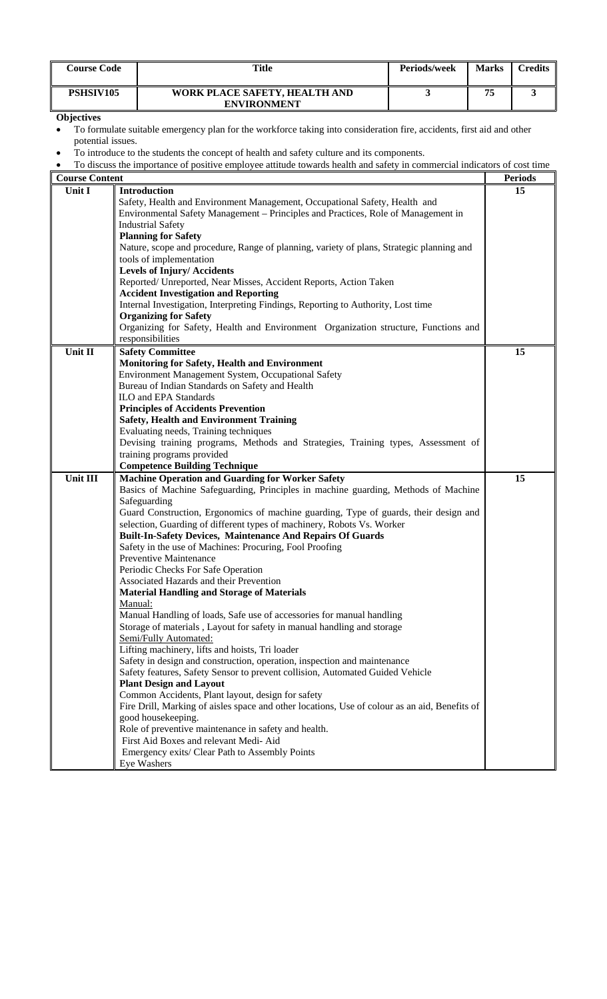| <b>Course Code</b> | Title                                               | Periods/week | <b>Marks</b> | <b>Tredits</b> |
|--------------------|-----------------------------------------------------|--------------|--------------|----------------|
| PSHSIV105          | WORK PLACE SAFETY, HEALTH AND<br><b>ENVIRONMENT</b> |              | 75           |                |

- To formulate suitable emergency plan for the workforce taking into consideration fire, accidents, first aid and other potential issues.
- To introduce to the students the concept of health and safety culture and its components.
- To discuss the importance of positive employee attitude towards health and safety in commercial indicators of cost time

| <b>Course Content</b> |                                                                                               | <b>Periods</b> |
|-----------------------|-----------------------------------------------------------------------------------------------|----------------|
| Unit I                | Introduction                                                                                  | 15             |
|                       | Safety, Health and Environment Management, Occupational Safety, Health and                    |                |
|                       | Environmental Safety Management - Principles and Practices, Role of Management in             |                |
|                       | <b>Industrial Safety</b>                                                                      |                |
|                       | <b>Planning for Safety</b>                                                                    |                |
|                       | Nature, scope and procedure, Range of planning, variety of plans, Strategic planning and      |                |
|                       | tools of implementation                                                                       |                |
|                       | <b>Levels of Injury/Accidents</b>                                                             |                |
|                       | Reported/ Unreported, Near Misses, Accident Reports, Action Taken                             |                |
|                       | <b>Accident Investigation and Reporting</b>                                                   |                |
|                       | Internal Investigation, Interpreting Findings, Reporting to Authority, Lost time              |                |
|                       | <b>Organizing for Safety</b>                                                                  |                |
|                       | Organizing for Safety, Health and Environment Organization structure, Functions and           |                |
|                       | responsibilities                                                                              |                |
| Unit II               | <b>Safety Committee</b>                                                                       | 15             |
|                       | <b>Monitoring for Safety, Health and Environment</b>                                          |                |
|                       | Environment Management System, Occupational Safety                                            |                |
|                       | Bureau of Indian Standards on Safety and Health                                               |                |
|                       | <b>ILO</b> and EPA Standards                                                                  |                |
|                       | <b>Principles of Accidents Prevention</b>                                                     |                |
|                       | <b>Safety, Health and Environment Training</b>                                                |                |
|                       | Evaluating needs, Training techniques                                                         |                |
|                       | Devising training programs, Methods and Strategies, Training types, Assessment of             |                |
|                       | training programs provided                                                                    |                |
|                       | <b>Competence Building Technique</b>                                                          |                |
| Unit III              | <b>Machine Operation and Guarding for Worker Safety</b>                                       | 15             |
|                       | Basics of Machine Safeguarding, Principles in machine guarding, Methods of Machine            |                |
|                       | Safeguarding                                                                                  |                |
|                       | Guard Construction, Ergonomics of machine guarding, Type of guards, their design and          |                |
|                       | selection, Guarding of different types of machinery, Robots Vs. Worker                        |                |
|                       | <b>Built-In-Safety Devices, Maintenance And Repairs Of Guards</b>                             |                |
|                       | Safety in the use of Machines: Procuring, Fool Proofing                                       |                |
|                       | Preventive Maintenance                                                                        |                |
|                       | Periodic Checks For Safe Operation                                                            |                |
|                       | Associated Hazards and their Prevention                                                       |                |
|                       | <b>Material Handling and Storage of Materials</b>                                             |                |
|                       | Manual:                                                                                       |                |
|                       | Manual Handling of loads, Safe use of accessories for manual handling                         |                |
|                       | Storage of materials, Layout for safety in manual handling and storage                        |                |
|                       | Semi/Fully Automated:                                                                         |                |
|                       | Lifting machinery, lifts and hoists, Tri loader                                               |                |
|                       | Safety in design and construction, operation, inspection and maintenance                      |                |
|                       | Safety features, Safety Sensor to prevent collision, Automated Guided Vehicle                 |                |
|                       | <b>Plant Design and Layout</b>                                                                |                |
|                       | Common Accidents, Plant layout, design for safety                                             |                |
|                       | Fire Drill, Marking of aisles space and other locations, Use of colour as an aid, Benefits of |                |
|                       | good housekeeping.                                                                            |                |
|                       | Role of preventive maintenance in safety and health.                                          |                |
|                       | First Aid Boxes and relevant Medi- Aid                                                        |                |
|                       | Emergency exits/ Clear Path to Assembly Points                                                |                |
|                       | Eye Washers                                                                                   |                |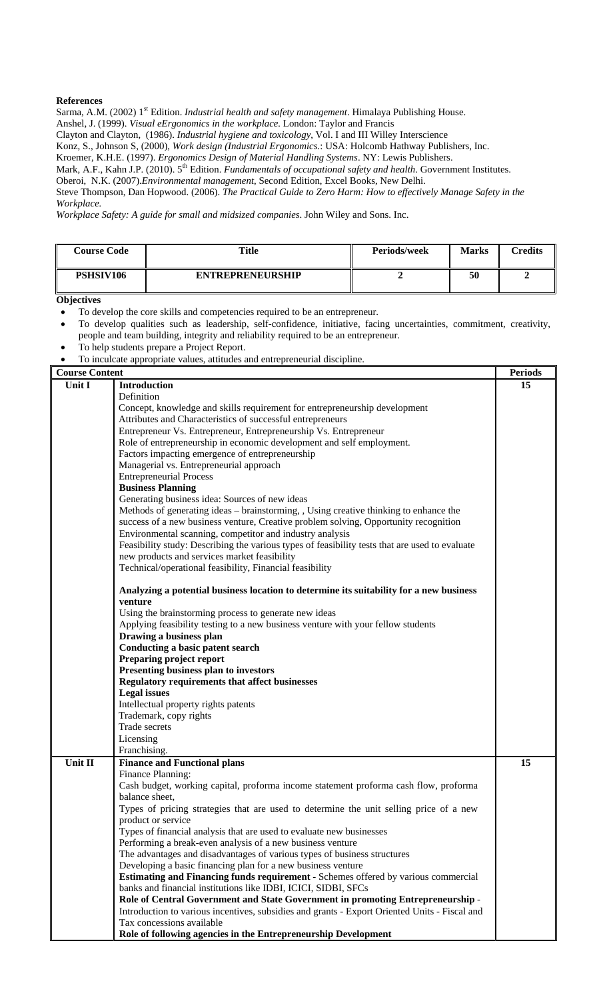Sarma, A.M. (2002) 1<sup>st</sup> Edition. *Industrial health and safety management*. Himalaya Publishing House.

Anshel, J. (1999). *Visual eErgonomics in the workplace.* London: Taylor and Francis

Clayton and Clayton, (1986). *Industrial hygiene and toxicology*, Vol. I and III Willey Interscience

Konz, S., Johnson S, (2000), *Work design (Industrial Ergonomics.*: USA: Holcomb Hathway Publishers, Inc.

Kroemer, K.H.E. (1997). *Ergonomics Design of Material Handling Systems*. NY: Lewis Publishers.

Mark, A.F., Kahn J.P. (2010). 5<sup>th</sup> Edition. *Fundamentals of occupational safety and health*. Government Institutes.

Oberoi, N.K. (2007).*Environmental management*, Second Edition, Excel Books, New Delhi.

Steve Thompson, Dan Hopwood. (2006). *The Practical Guide to Zero Harm: How to effectively Manage Safety in the Workplace.*

*Workplace Safety: A guide for small and midsized companies*. John Wiley and Sons. Inc.

| <b>Course Code</b> | <b>Title</b>            | <b>Periods/week</b> | <b>Marks</b> | Credits |
|--------------------|-------------------------|---------------------|--------------|---------|
| PSHSIV106          | <b>ENTREPRENEURSHIP</b> |                     | 50           |         |

**Objectives** 

- To develop the core skills and competencies required to be an entrepreneur.
- To develop qualities such as leadership, self-confidence, initiative, facing uncertainties, commitment, creativity, people and team building, integrity and reliability required to be an entrepreneur.
- To help students prepare a Project Report.
- To inculcate appropriate values, attitudes and entrepreneurial discipline.

| <b>Course Content</b> |                                                                                                | <b>Periods</b> |
|-----------------------|------------------------------------------------------------------------------------------------|----------------|
| Unit I                | <b>Introduction</b>                                                                            | 15             |
|                       | Definition                                                                                     |                |
|                       | Concept, knowledge and skills requirement for entrepreneurship development                     |                |
|                       | Attributes and Characteristics of successful entrepreneurs                                     |                |
|                       | Entrepreneur Vs. Entrepreneur, Entrepreneurship Vs. Entrepreneur                               |                |
|                       | Role of entrepreneurship in economic development and self employment.                          |                |
|                       | Factors impacting emergence of entrepreneurship                                                |                |
|                       | Managerial vs. Entrepreneurial approach                                                        |                |
|                       | <b>Entrepreneurial Process</b>                                                                 |                |
|                       | <b>Business Planning</b>                                                                       |                |
|                       | Generating business idea: Sources of new ideas                                                 |                |
|                       | Methods of generating ideas – brainstorming, , Using creative thinking to enhance the          |                |
|                       | success of a new business venture, Creative problem solving, Opportunity recognition           |                |
|                       |                                                                                                |                |
|                       | Environmental scanning, competitor and industry analysis                                       |                |
|                       | Feasibility study: Describing the various types of feasibility tests that are used to evaluate |                |
|                       | new products and services market feasibility                                                   |                |
|                       | Technical/operational feasibility, Financial feasibility                                       |                |
|                       | Analyzing a potential business location to determine its suitability for a new business        |                |
|                       | venture                                                                                        |                |
|                       | Using the brainstorming process to generate new ideas                                          |                |
|                       | Applying feasibility testing to a new business venture with your fellow students               |                |
|                       | Drawing a business plan                                                                        |                |
|                       | Conducting a basic patent search                                                               |                |
|                       | Preparing project report                                                                       |                |
|                       | Presenting business plan to investors                                                          |                |
|                       | <b>Regulatory requirements that affect businesses</b>                                          |                |
|                       | <b>Legal</b> issues                                                                            |                |
|                       | Intellectual property rights patents                                                           |                |
|                       | Trademark, copy rights                                                                         |                |
|                       | Trade secrets                                                                                  |                |
|                       | Licensing                                                                                      |                |
|                       | Franchising.                                                                                   |                |
| Unit II               | <b>Finance and Functional plans</b>                                                            | 15             |
|                       | Finance Planning:                                                                              |                |
|                       | Cash budget, working capital, proforma income statement proforma cash flow, proforma           |                |
|                       | balance sheet,                                                                                 |                |
|                       | Types of pricing strategies that are used to determine the unit selling price of a new         |                |
|                       | product or service                                                                             |                |
|                       | Types of financial analysis that are used to evaluate new businesses                           |                |
|                       | Performing a break-even analysis of a new business venture                                     |                |
|                       | The advantages and disadvantages of various types of business structures                       |                |
|                       | Developing a basic financing plan for a new business venture                                   |                |
|                       | <b>Estimating and Financing funds requirement - Schemes offered by various commercial</b>      |                |
|                       | banks and financial institutions like IDBI, ICICI, SIDBI, SFCs                                 |                |
|                       | Role of Central Government and State Government in promoting Entrepreneurship -                |                |
|                       | Introduction to various incentives, subsidies and grants - Export Oriented Units - Fiscal and  |                |
|                       | Tax concessions available                                                                      |                |
|                       | Role of following agencies in the Entrepreneurship Development                                 |                |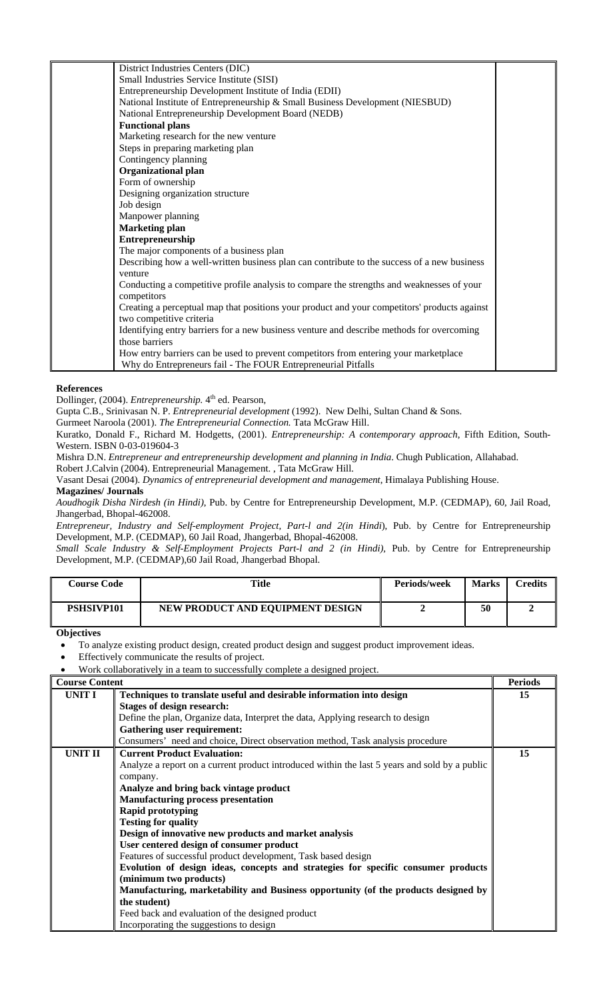| District Industries Centers (DIC)                                                            |  |
|----------------------------------------------------------------------------------------------|--|
| Small Industries Service Institute (SISI)                                                    |  |
| Entrepreneurship Development Institute of India (EDII)                                       |  |
| National Institute of Entrepreneurship & Small Business Development (NIESBUD)                |  |
| National Entrepreneurship Development Board (NEDB)                                           |  |
| <b>Functional plans</b>                                                                      |  |
| Marketing research for the new venture                                                       |  |
| Steps in preparing marketing plan                                                            |  |
| Contingency planning                                                                         |  |
| <b>Organizational plan</b>                                                                   |  |
| Form of ownership                                                                            |  |
| Designing organization structure                                                             |  |
| Job design                                                                                   |  |
| Manpower planning                                                                            |  |
| <b>Marketing plan</b>                                                                        |  |
| Entrepreneurship                                                                             |  |
| The major components of a business plan                                                      |  |
| Describing how a well-written business plan can contribute to the success of a new business  |  |
| venture                                                                                      |  |
| Conducting a competitive profile analysis to compare the strengths and weaknesses of your    |  |
| competitors                                                                                  |  |
| Creating a perceptual map that positions your product and your competitors' products against |  |
| two competitive criteria                                                                     |  |
| Identifying entry barriers for a new business venture and describe methods for overcoming    |  |
| those barriers                                                                               |  |
| How entry barriers can be used to prevent competitors from entering your marketplace         |  |
| Why do Entrepreneurs fail - The FOUR Entrepreneurial Pitfalls                                |  |

Dollinger, (2004). *Entrepreneurship*. 4<sup>th</sup> ed. Pearson,

Gupta C.B., Srinivasan N. P. *Entrepreneurial development* (1992). New Delhi, Sultan Chand & Sons.

Gurmeet Naroola (2001). *The Entrepreneurial Connection.* Tata McGraw Hill.

Kuratko, Donald F., Richard M. Hodgetts, (2001). *Entrepreneurship: A contemporary approach*, Fifth Edition, South-Western. ISBN 0-03-019604-3

Mishra D.N. *Entrepreneur and entrepreneurship development and planning in India*. Chugh Publication, Allahabad.

Robert J.Calvin (2004). Entrepreneurial Management. , Tata McGraw Hill.

Vasant Desai (2004). *Dynamics of entrepreneurial development and management*, Himalaya Publishing House.

#### **Magazines/ Journals**

*Aoudhogik Disha Nirdesh (in Hindi)*, Pub. by Centre for Entrepreneurship Development, M.P. (CEDMAP), 60, Jail Road, Jhangerbad, Bhopal-462008.

*Entrepreneur, Industry and Self-employment Project, Part-l and 2(in Hindi*), Pub. by Centre for Entrepreneurship Development, M.P. (CEDMAP), 60 Jail Road, Jhangerbad, Bhopal-462008.

*Small Scale Industry & Self-Employment Projects Part-l and 2 (in Hindi),* Pub. by Centre for Entrepreneurship Development, M.P. (CEDMAP),60 Jail Road, Jhangerbad Bhopal.

| <b>Course Code</b> | Title                            | <b>Periods/week</b> | <b>Marks</b> | <b>Credits</b> |
|--------------------|----------------------------------|---------------------|--------------|----------------|
| <b>PSHSIVP101</b>  | NEW PRODUCT AND EQUIPMENT DESIGN |                     | 50           |                |

٦

**Objectives** 

To analyze existing product design, created product design and suggest product improvement ideas.

Effectively communicate the results of project.

• Work collaboratively in a team to successfully complete a designed project.

| <b>Course Cont</b> |  |
|--------------------|--|
|                    |  |

| <b>Course Content</b> |                                                                                               | <b>Periods</b> |
|-----------------------|-----------------------------------------------------------------------------------------------|----------------|
| <b>UNIT I</b>         | Techniques to translate useful and desirable information into design                          | 15             |
|                       | <b>Stages of design research:</b>                                                             |                |
|                       | Define the plan, Organize data, Interpret the data, Applying research to design               |                |
|                       | <b>Gathering user requirement:</b>                                                            |                |
|                       | Consumers' need and choice, Direct observation method, Task analysis procedure                |                |
| UNIT II               | <b>Current Product Evaluation:</b>                                                            | 15             |
|                       | Analyze a report on a current product introduced within the last 5 years and sold by a public |                |
|                       | company.                                                                                      |                |
|                       | Analyze and bring back vintage product                                                        |                |
|                       | <b>Manufacturing process presentation</b>                                                     |                |
|                       | <b>Rapid prototyping</b>                                                                      |                |
|                       | <b>Testing for quality</b>                                                                    |                |
|                       | Design of innovative new products and market analysis                                         |                |
|                       | User centered design of consumer product                                                      |                |
|                       | Features of successful product development, Task based design                                 |                |
|                       | Evolution of design ideas, concepts and strategies for specific consumer products             |                |
|                       | (minimum two products)                                                                        |                |
|                       | Manufacturing, marketability and Business opportunity (of the products designed by            |                |
|                       | the student)                                                                                  |                |
|                       | Feed back and evaluation of the designed product                                              |                |
|                       | Incorporating the suggestions to design                                                       |                |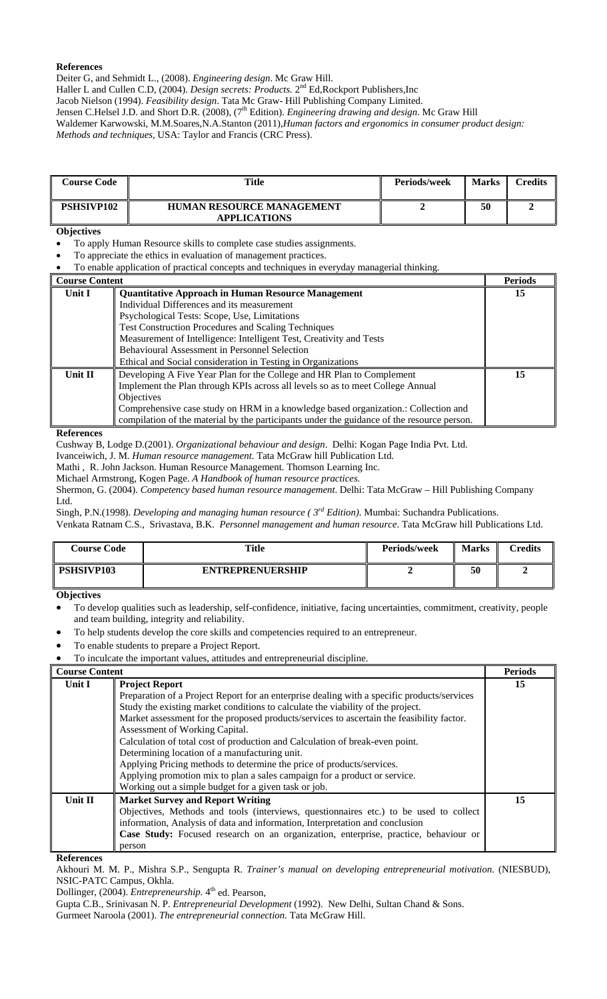Deiter G, and Sehmidt L., (2008). *Engineering design*. Mc Graw Hill.

Haller L and Cullen C.D, (2004). *Design secrets: Products*. 2<sup>nd</sup> Ed, Rockport Publishers, Inc

Jacob Nielson (1994). *Feasibility design*. Tata Mc Graw- Hill Publishing Company Limited.

Jensen C.Helsel J.D. and Short D.R. (2008), (7<sup>th</sup> Edition). *Engineering drawing and design*. Mc Graw Hill

Waldemer Karwowski, M.M.Soares,N.A.Stanton (2011),*Human factors and ergonomics in consumer product design: Methods and techniques*, USA: Taylor and Francis (CRC Press).

| <b>Course Code</b> | Title                                                   | Periods/week | <b>Marks</b> | $\mathop{{}^\sim}\nolimits$ redits |
|--------------------|---------------------------------------------------------|--------------|--------------|------------------------------------|
| <b>PSHSIVP102</b>  | <b>HUMAN RESOURCE MANAGEMENT</b><br><b>APPLICATIONS</b> |              | 50           |                                    |

#### **Objectives**

• To apply Human Resource skills to complete case studies assignments.

- To appreciate the ethics in evaluation of management practices.
- To enable application of practical concepts and techniques in everyday managerial thinking.

| <b>Course Content</b> |                                                                                            | <b>Periods</b> |
|-----------------------|--------------------------------------------------------------------------------------------|----------------|
| Unit I                | <b>Quantitative Approach in Human Resource Management</b>                                  | 15             |
|                       | Individual Differences and its measurement                                                 |                |
|                       | Psychological Tests: Scope, Use, Limitations                                               |                |
|                       | <b>Test Construction Procedures and Scaling Techniques</b>                                 |                |
|                       | Measurement of Intelligence: Intelligent Test, Creativity and Tests                        |                |
|                       | Behavioural Assessment in Personnel Selection                                              |                |
|                       | Ethical and Social consideration in Testing in Organizations                               |                |
| <b>Unit II</b>        | Developing A Five Year Plan for the College and HR Plan to Complement                      | 15             |
|                       | Implement the Plan through KPIs across all levels so as to meet College Annual             |                |
|                       | <b>Objectives</b>                                                                          |                |
|                       | Comprehensive case study on HRM in a knowledge based organization.: Collection and         |                |
|                       | compilation of the material by the participants under the guidance of the resource person. |                |

#### **References**

Cushway B, Lodge D.(2001). *Organizational behaviour and design*. Delhi: Kogan Page India Pvt. Ltd.

Ivanceiwich, J. M. *Human resource management*. Tata McGraw hill Publication Ltd.

Mathi , R. John Jackson. Human Resource Management. Thomson Learning Inc.

Michael Armstrong, Kogen Page. *A Handbook of human resource practices.* 

Shermon, G. (2004). *Competency based human resource management*. Delhi: Tata McGraw – Hill Publishing Company Ltd.

Singh, P.N.(1998). *Developing and managing human resource ( 3rd Edition)*. Mumbai: Suchandra Publications.

Venkata Ratnam C.S., Srivastava, B.K. *Personnel management and human resource*. Tata McGraw hill Publications Ltd.

| <b>Course Code</b> | <b>Title</b>            | <b>Periods/week</b> | <b>Marks</b> | $\mathop{{} \mathsf{C}redits}$ |
|--------------------|-------------------------|---------------------|--------------|--------------------------------|
| PSHSIVP103         | <b>ENTREPRENUERSHIP</b> |                     | 50           |                                |

**Objectives**

• To develop qualities such as leadership, self-confidence, initiative, facing uncertainties, commitment, creativity, people and team building, integrity and reliability.

- To help students develop the core skills and competencies required to an entrepreneur.
- To enable students to prepare a Project Report.
- To inculcate the important values, attitudes and entrepreneurial discipline.

| <b>Course Content</b> |                                                                                             | <b>Periods</b> |
|-----------------------|---------------------------------------------------------------------------------------------|----------------|
| Unit I                | <b>Project Report</b>                                                                       | 15             |
|                       | Preparation of a Project Report for an enterprise dealing with a specific products/services |                |
|                       | Study the existing market conditions to calculate the viability of the project.             |                |
|                       | Market assessment for the proposed products/services to ascertain the feasibility factor.   |                |
|                       | Assessment of Working Capital.                                                              |                |
|                       | Calculation of total cost of production and Calculation of break-even point.                |                |
|                       | Determining location of a manufacturing unit.                                               |                |
|                       | Applying Pricing methods to determine the price of products/services.                       |                |
|                       | Applying promotion mix to plan a sales campaign for a product or service.                   |                |
|                       | Working out a simple budget for a given task or job.                                        |                |
| Unit II               | <b>Market Survey and Report Writing</b>                                                     | 15             |
|                       | Objectives, Methods and tools (interviews, questionnaires etc.) to be used to collect       |                |
|                       | information, Analysis of data and information, Interpretation and conclusion                |                |
|                       | Case Study: Focused research on an organization, enterprise, practice, behaviour or         |                |
|                       | person                                                                                      |                |

**References** 

Akhouri M. M. P., Mishra S.P., Sengupta R. *Trainer's manual on developing entrepreneurial motivation*. (NIESBUD), NSIC-PATC Campus, Okhla.

Dollinger, (2004). *Entrepreneurship*. 4<sup>th</sup> ed. Pearson,

Gupta C.B., Srinivasan N. P. *Entrepreneurial Development* (1992). New Delhi, Sultan Chand & Sons.

Gurmeet Naroola (2001). *The entrepreneurial connection.* Tata McGraw Hill.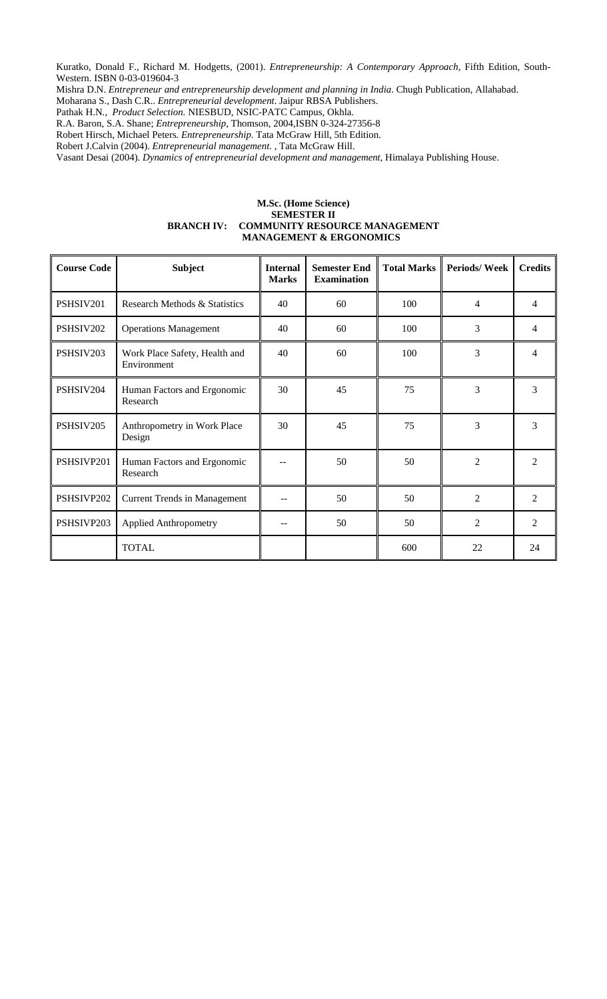Kuratko, Donald F., Richard M. Hodgetts, (2001). *Entrepreneurship: A Contemporary Approach*, Fifth Edition, South-Western. ISBN 0-03-019604-3

Mishra D.N. *Entrepreneur and entrepreneurship development and planning in India*. Chugh Publication, Allahabad.

Moharana S., Dash C.R.. *Entrepreneurial development*. Jaipur RBSA Publishers.

Pathak H.N*., Product Selection.* NIESBUD, NSIC-PATC Campus, Okhla.

R.A. Baron, S.A. Shane; *Entrepreneurship*, Thomson, 2004,ISBN 0-324-27356-8

Robert Hirsch, Michael Peters. *Entrepreneurship*. Tata McGraw Hill, 5th Edition.

Robert J.Calvin (2004). *Entrepreneurial management*. , Tata McGraw Hill.

Vasant Desai (2004). *Dynamics of entrepreneurial development and management*, Himalaya Publishing House.

#### **M.Sc. (Home Science) SEMESTER II BRANCH IV: COMMUNITY RESOURCE MANAGEMENT MANAGEMENT & ERGONOMICS**

| <b>Course Code</b> | <b>Subject</b>                               | <b>Internal</b><br><b>Marks</b> | <b>Semester End</b><br><b>Examination</b> | <b>Total Marks</b> | <b>Periods/Week</b> | <b>Credits</b> |
|--------------------|----------------------------------------------|---------------------------------|-------------------------------------------|--------------------|---------------------|----------------|
| PSHSIV201          | Research Methods & Statistics                | 40                              | 60                                        | 100                | 4                   | 4              |
| PSHSIV202          | <b>Operations Management</b>                 | 40                              | 60                                        | 100                | 3                   | 4              |
| PSHSIV203          | Work Place Safety, Health and<br>Environment | 40                              | 60                                        | 100                | 3                   | $\overline{4}$ |
| PSHSIV204          | Human Factors and Ergonomic<br>Research      | 30                              | 45                                        | 75                 | 3                   | 3              |
| PSHSIV205          | Anthropometry in Work Place<br>Design        | 30                              | 45                                        | 75                 | 3                   | 3              |
| PSHSIVP201         | Human Factors and Ergonomic<br>Research      |                                 | 50                                        | 50                 | $\overline{c}$      | $\mathfrak{D}$ |
| PSHSIVP202         | <b>Current Trends in Management</b>          |                                 | 50                                        | 50                 | $\overline{2}$      | 2              |
| PSHSIVP203         | <b>Applied Anthropometry</b>                 |                                 | 50                                        | 50                 | $\overline{2}$      | $\overline{2}$ |
|                    | <b>TOTAL</b>                                 |                                 |                                           | 600                | 22                  | 24             |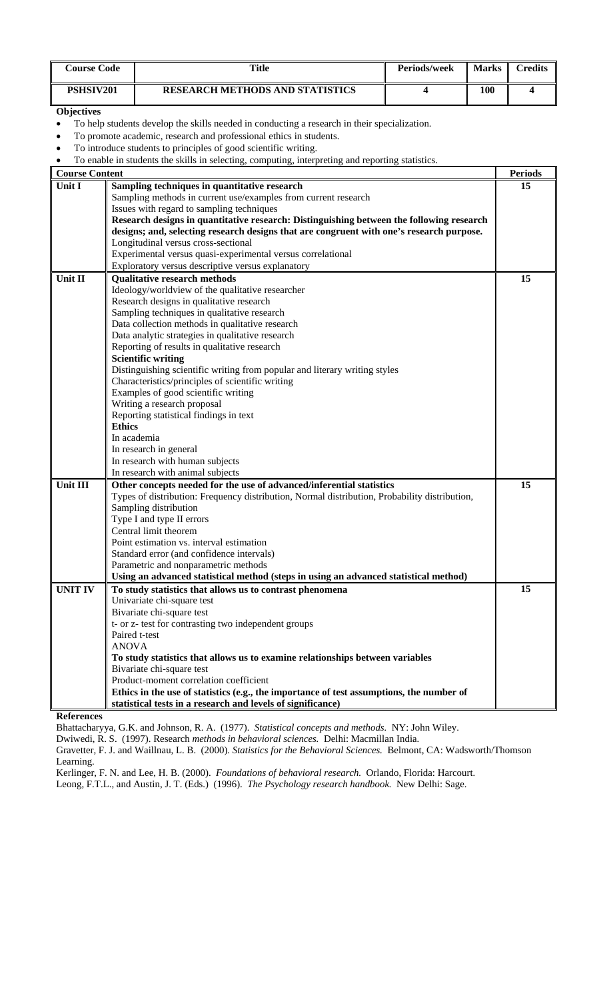| <b>Course Code</b> | Title                                  | <b>Periods/week</b> | <b>Marks</b> | `redits |
|--------------------|----------------------------------------|---------------------|--------------|---------|
| <b>PSHSIV201</b>   | <b>RESEARCH METHODS AND STATISTICS</b> |                     | 100          |         |

• To help students develop the skills needed in conducting a research in their specialization.

• To promote academic, research and professional ethics in students.

• To introduce students to principles of good scientific writing.

• To enable in students the skills in selecting, computing, interpreting and reporting statistics.

| <b>Course Content</b> | To enable in students the skills in selecting, computing, interpretting and reporting statistics. | <b>Periods</b> |
|-----------------------|---------------------------------------------------------------------------------------------------|----------------|
| Unit I                | Sampling techniques in quantitative research                                                      | 15             |
|                       | Sampling methods in current use/examples from current research                                    |                |
|                       | Issues with regard to sampling techniques                                                         |                |
|                       |                                                                                                   |                |
|                       | Research designs in quantitative research: Distinguishing between the following research          |                |
|                       | designs; and, selecting research designs that are congruent with one's research purpose.          |                |
|                       | Longitudinal versus cross-sectional                                                               |                |
|                       | Experimental versus quasi-experimental versus correlational                                       |                |
|                       | Exploratory versus descriptive versus explanatory                                                 |                |
| Unit II               | <b>Qualitative research methods</b>                                                               | 15             |
|                       | Ideology/worldview of the qualitative researcher                                                  |                |
|                       | Research designs in qualitative research                                                          |                |
|                       | Sampling techniques in qualitative research                                                       |                |
|                       | Data collection methods in qualitative research                                                   |                |
|                       | Data analytic strategies in qualitative research                                                  |                |
|                       | Reporting of results in qualitative research                                                      |                |
|                       | <b>Scientific writing</b>                                                                         |                |
|                       | Distinguishing scientific writing from popular and literary writing styles                        |                |
|                       | Characteristics/principles of scientific writing                                                  |                |
|                       | Examples of good scientific writing                                                               |                |
|                       | Writing a research proposal                                                                       |                |
|                       | Reporting statistical findings in text                                                            |                |
|                       | <b>Ethics</b>                                                                                     |                |
|                       | In academia                                                                                       |                |
|                       | In research in general                                                                            |                |
|                       | In research with human subjects                                                                   |                |
|                       | In research with animal subjects                                                                  |                |
| Unit III              | Other concepts needed for the use of advanced/inferential statistics                              | 15             |
|                       | Types of distribution: Frequency distribution, Normal distribution, Probability distribution,     |                |
|                       | Sampling distribution                                                                             |                |
|                       | Type I and type II errors                                                                         |                |
|                       | Central limit theorem                                                                             |                |
|                       | Point estimation vs. interval estimation                                                          |                |
|                       | Standard error (and confidence intervals)                                                         |                |
|                       | Parametric and nonparametric methods                                                              |                |
|                       | Using an advanced statistical method (steps in using an advanced statistical method)              |                |
| <b>UNIT IV</b>        | To study statistics that allows us to contrast phenomena                                          | 15             |
|                       | Univariate chi-square test                                                                        |                |
|                       | Bivariate chi-square test                                                                         |                |
|                       | t- or z- test for contrasting two independent groups                                              |                |
|                       | Paired t-test                                                                                     |                |
|                       | <b>ANOVA</b>                                                                                      |                |
|                       | To study statistics that allows us to examine relationships between variables                     |                |
|                       | Bivariate chi-square test                                                                         |                |
|                       | Product-moment correlation coefficient                                                            |                |
|                       | Ethics in the use of statistics (e.g., the importance of test assumptions, the number of          |                |
|                       | statistical tests in a research and levels of significance)                                       |                |
|                       |                                                                                                   |                |

**References** 

Bhattacharyya, G.K. and Johnson, R. A. (1977). *Statistical concepts and methods.* NY: John Wiley.

Dwiwedi, R. S. (1997). Research *methods in behavioral sciences.* Delhi: Macmillan India.

Gravetter, F. J. and Waillnau, L. B. (2000). *Statistics for the Behavioral Sciences.* Belmont, CA: Wadsworth/Thomson Learning.

Kerlinger, F. N. and Lee, H. B. (2000). *Foundations of behavioral research.* Orlando, Florida: Harcourt.

Leong, F.T.L., and Austin, J. T. (Eds.) (1996). *The Psychology research handbook.* New Delhi: Sage.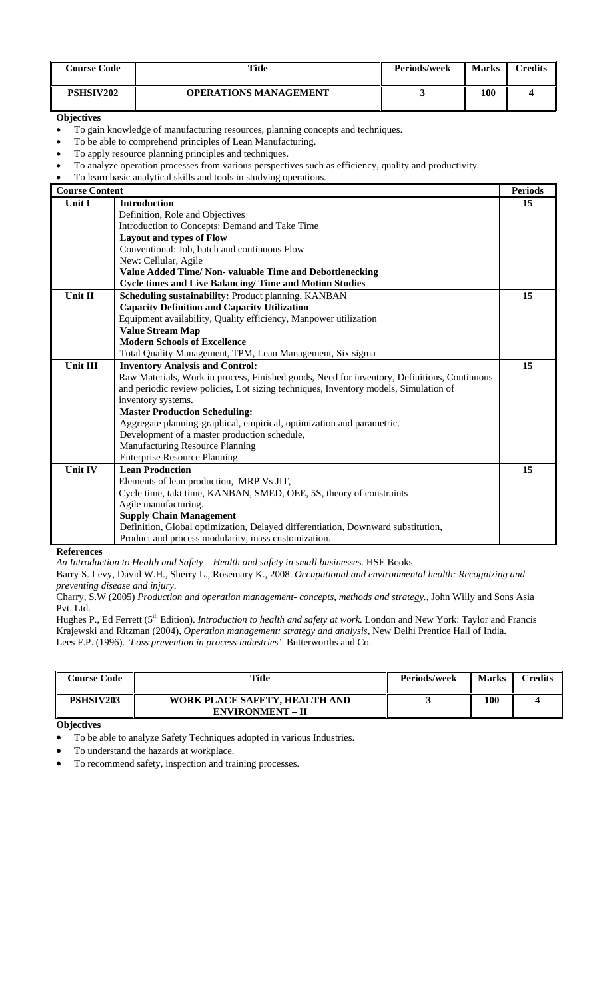| <b>Course Code</b> | Title                 | <b>Periods/week</b> | <b>Marks</b> | $\gamma$ redits |
|--------------------|-----------------------|---------------------|--------------|-----------------|
| <b>PSHSIV202</b>   | OPERATIONS MANAGEMENT |                     | 100          |                 |

- To gain knowledge of manufacturing resources, planning concepts and techniques.
- To be able to comprehend principles of Lean Manufacturing.
- To apply resource planning principles and techniques.
- To analyze operation processes from various perspectives such as efficiency, quality and productivity.
- To learn basic analytical skills and tools in studying operations.

| <b>Course Content</b> |                                                                                             | <b>Periods</b> |
|-----------------------|---------------------------------------------------------------------------------------------|----------------|
| Unit I                | <b>Introduction</b>                                                                         | 15             |
|                       | Definition, Role and Objectives                                                             |                |
|                       | Introduction to Concepts: Demand and Take Time                                              |                |
|                       | <b>Layout and types of Flow</b>                                                             |                |
|                       | Conventional: Job, batch and continuous Flow                                                |                |
|                       | New: Cellular, Agile                                                                        |                |
|                       | <b>Value Added Time/ Non- valuable Time and Debottlenecking</b>                             |                |
|                       | <b>Cycle times and Live Balancing/Time and Motion Studies</b>                               |                |
| Unit II               | Scheduling sustainability: Product planning, KANBAN                                         | 15             |
|                       | <b>Capacity Definition and Capacity Utilization</b>                                         |                |
|                       | Equipment availability, Quality efficiency, Manpower utilization                            |                |
|                       | <b>Value Stream Map</b>                                                                     |                |
|                       | <b>Modern Schools of Excellence</b>                                                         |                |
|                       | Total Quality Management, TPM, Lean Management, Six sigma                                   |                |
| <b>Unit III</b>       | <b>Inventory Analysis and Control:</b>                                                      | 15             |
|                       | Raw Materials, Work in process, Finished goods, Need for inventory, Definitions, Continuous |                |
|                       | and periodic review policies, Lot sizing techniques, Inventory models, Simulation of        |                |
|                       | inventory systems.                                                                          |                |
|                       | <b>Master Production Scheduling:</b>                                                        |                |
|                       | Aggregate planning-graphical, empirical, optimization and parametric.                       |                |
|                       | Development of a master production schedule,                                                |                |
|                       | <b>Manufacturing Resource Planning</b>                                                      |                |
|                       | Enterprise Resource Planning.                                                               |                |
| <b>Unit IV</b>        | <b>Lean Production</b>                                                                      | 15             |
|                       | Elements of lean production, MRP Vs JIT,                                                    |                |
|                       | Cycle time, takt time, KANBAN, SMED, OEE, 5S, theory of constraints                         |                |
|                       | Agile manufacturing.                                                                        |                |
|                       | <b>Supply Chain Management</b>                                                              |                |
|                       | Definition, Global optimization, Delayed differentiation, Downward substitution,            |                |
|                       | Product and process modularity, mass customization.                                         |                |

#### **References**

*An Introduction to Health and Safety – Health and safety in small businesse*s. HSE Books

Barry S. Levy, David W.H., Sherry L., Rosemary K., 2008. *Occupational and environmental health: Recognizing and preventing disease and injury*.

Charry, S.W (2005) *Production and operation management- concepts, methods and strategy.*, John Willy and Sons Asia Pvt. Ltd.

Hughes P., Ed Ferrett (5th Edition). *Introduction to health and safety at work.* London and New York: Taylor and Francis Krajewski and Ritzman (2004), *Operation management: strategy and analysis*, New Delhi Prentice Hall of India. Lees F.P. (1996). *'Loss prevention in process industries'*. Butterworths and Co.

| Course Code      | Title                                                    | <b>Periods/week</b> | Marks | Credits |
|------------------|----------------------------------------------------------|---------------------|-------|---------|
| <b>PSHSIV203</b> | WORK PLACE SAFETY, HEALTH AND<br><b>ENVIRONMENT – II</b> |                     | 100   |         |

**Objectives** 

• To be able to analyze Safety Techniques adopted in various Industries.

- To understand the hazards at workplace.
- To recommend safety, inspection and training processes.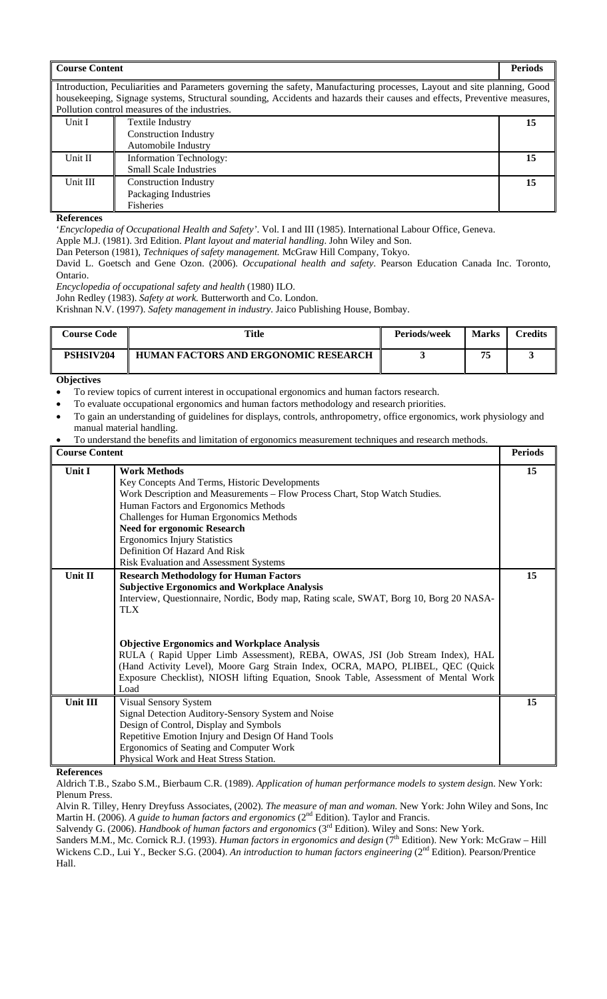| <b>Course Content</b> |                                                                                                                                                                                                                                                                                                       | <b>Periods</b> |
|-----------------------|-------------------------------------------------------------------------------------------------------------------------------------------------------------------------------------------------------------------------------------------------------------------------------------------------------|----------------|
|                       | Introduction, Peculiarities and Parameters governing the safety, Manufacturing processes, Layout and site planning, Good<br>housekeeping, Signage systems, Structural sounding, Accidents and hazards their causes and effects, Preventive measures,<br>Pollution control measures of the industries. |                |
| Unit I                | Textile Industry                                                                                                                                                                                                                                                                                      | 15             |
|                       | <b>Construction Industry</b>                                                                                                                                                                                                                                                                          |                |
|                       | Automobile Industry                                                                                                                                                                                                                                                                                   |                |
| Unit II               | <b>Information Technology:</b>                                                                                                                                                                                                                                                                        | 15             |
|                       | <b>Small Scale Industries</b>                                                                                                                                                                                                                                                                         |                |
| Unit III              | <b>Construction Industry</b>                                                                                                                                                                                                                                                                          | 15             |
|                       | Packaging Industries                                                                                                                                                                                                                                                                                  |                |
|                       | Fisheries                                                                                                                                                                                                                                                                                             |                |

'*Encyclopedia of Occupational Health and Safety'*. Vol. I and III (1985). International Labour Office, Geneva.

Apple M.J. (1981). 3rd Edition. *Plant layout and material handling*. John Wiley and Son.

Dan Peterson (1981), *Techniques of safety management.* McGraw Hill Company, Tokyo.

David L. Goetsch and Gene Ozon. (2006). *Occupational health and safety*. Pearson Education Canada Inc. Toronto, Ontario.

*Encyclopedia of occupational safety and health* (1980) ILO.

John Redley (1983). *Safety at work.* Butterworth and Co. London.

Krishnan N.V. (1997). *Safety management in industry.* Jaico Publishing House, Bombay.

| <b>Course Code</b> | <b>Title</b>                                | <b>Periods/week</b> | <b>Marks</b> | $\mathbb C$ redits |
|--------------------|---------------------------------------------|---------------------|--------------|--------------------|
| PSHSIV204          | <b>HUMAN FACTORS AND ERGONOMIC RESEARCH</b> |                     | 75           |                    |

#### **Objectives**

- To review topics of current interest in occupational ergonomics and human factors research.
- To evaluate occupational ergonomics and human factors methodology and research priorities.
- To gain an understanding of guidelines for displays, controls, anthropometry, office ergonomics, work physiology and manual material handling.
- To understand the benefits and limitation of ergonomics measurement techniques and research methods.

| <b>Course Content</b> |                                                                                        | <b>Periods</b> |
|-----------------------|----------------------------------------------------------------------------------------|----------------|
| Unit I                | <b>Work Methods</b>                                                                    | 15             |
|                       | Key Concepts And Terms, Historic Developments                                          |                |
|                       | Work Description and Measurements - Flow Process Chart, Stop Watch Studies.            |                |
|                       | Human Factors and Ergonomics Methods                                                   |                |
|                       | Challenges for Human Ergonomics Methods                                                |                |
|                       | <b>Need for ergonomic Research</b>                                                     |                |
|                       | <b>Ergonomics Injury Statistics</b>                                                    |                |
|                       | Definition Of Hazard And Risk                                                          |                |
|                       | Risk Evaluation and Assessment Systems                                                 |                |
| Unit II               | <b>Research Methodology for Human Factors</b>                                          | 15             |
|                       | <b>Subjective Ergonomics and Workplace Analysis</b>                                    |                |
|                       | Interview, Questionnaire, Nordic, Body map, Rating scale, SWAT, Borg 10, Borg 20 NASA- |                |
|                       | <b>TLX</b>                                                                             |                |
|                       |                                                                                        |                |
|                       |                                                                                        |                |
|                       | <b>Objective Ergonomics and Workplace Analysis</b>                                     |                |
|                       | RULA (Rapid Upper Limb Assessment), REBA, OWAS, JSI (Job Stream Index), HAL            |                |
|                       | (Hand Activity Level), Moore Garg Strain Index, OCRA, MAPO, PLIBEL, QEC (Quick         |                |
|                       | Exposure Checklist), NIOSH lifting Equation, Snook Table, Assessment of Mental Work    |                |
|                       | Load                                                                                   |                |
| Unit III              | <b>Visual Sensory System</b>                                                           | 15             |
|                       | Signal Detection Auditory-Sensory System and Noise                                     |                |
|                       | Design of Control, Display and Symbols                                                 |                |
|                       | Repetitive Emotion Injury and Design Of Hand Tools                                     |                |
|                       | Ergonomics of Seating and Computer Work                                                |                |
|                       | Physical Work and Heat Stress Station.                                                 |                |

**References** 

Aldrich T.B., Szabo S.M., Bierbaum C.R. (1989). *Application of human performance models to system desig*n. New York: Plenum Press.

Alvin R. Tilley, Henry Dreyfuss Associates, (2002). *The measure of man and woman*. New York: John Wiley and Sons, Inc Martin H. (2006). *A guide to human factors and ergonomics* (2<sup>nd</sup> Edition). Taylor and Francis.

Salvendy G. (2006). *Handbook of human factors and ergonomics* (3<sup>rd</sup> Edition). Wiley and Sons: New York.

Sanders M.M., Mc. Cornick R.J. (1993). *Human factors in ergonomics and design* (7<sup>th</sup> Edition). New York: McGraw – Hill Wickens C.D., Lui Y., Becker S.G. (2004). An introduction to human factors engineering (2<sup>nd</sup> Edition). Pearson/Prentice Hall.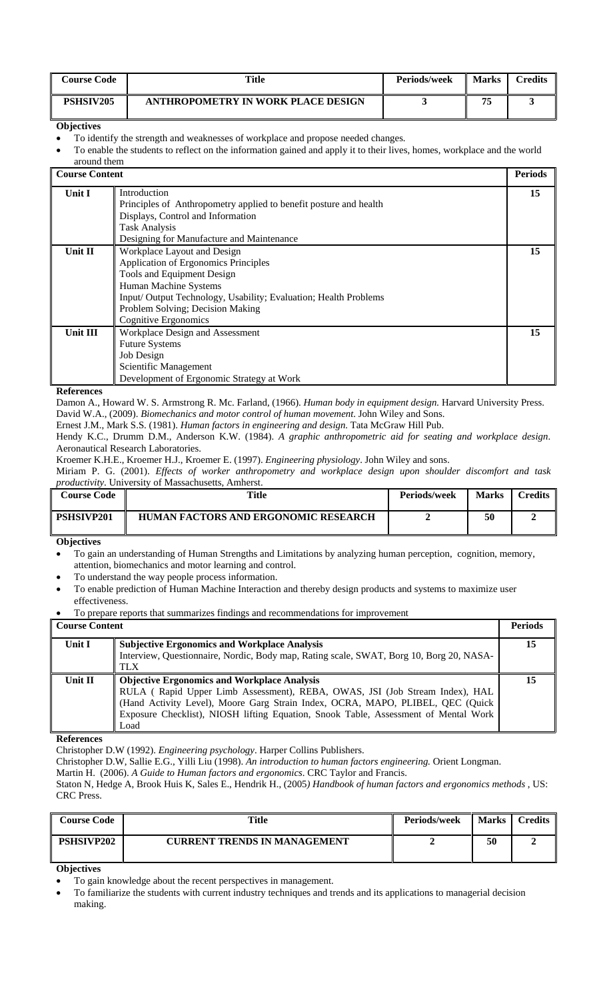| <b>Course Code</b> | Title                              | <b>Periods/week</b> | <b>Marks</b> | $\alpha$ redits |
|--------------------|------------------------------------|---------------------|--------------|-----------------|
| PSHSIV205          | ANTHROPOMETRY IN WORK PLACE DESIGN |                     | 75           |                 |

- To identify the strength and weaknesses of workplace and propose needed changes.
- To enable the students to reflect on the information gained and apply it to their lives, homes, workplace and the world around them

| <b>Course Content</b> |                                                                   | <b>Periods</b> |
|-----------------------|-------------------------------------------------------------------|----------------|
| Unit I                | Introduction                                                      | 15             |
|                       | Principles of Anthropometry applied to benefit posture and health |                |
|                       | Displays, Control and Information                                 |                |
|                       | <b>Task Analysis</b>                                              |                |
|                       | Designing for Manufacture and Maintenance                         |                |
| Unit II               | Workplace Layout and Design                                       | 15             |
|                       | Application of Ergonomics Principles                              |                |
|                       | Tools and Equipment Design                                        |                |
|                       | Human Machine Systems                                             |                |
|                       | Input/Output Technology, Usability; Evaluation; Health Problems   |                |
|                       | Problem Solving; Decision Making                                  |                |
|                       | Cognitive Ergonomics                                              |                |
| Unit III              | Workplace Design and Assessment                                   | 15             |
|                       | <b>Future Systems</b>                                             |                |
|                       | Job Design                                                        |                |
|                       | Scientific Management                                             |                |
|                       | Development of Ergonomic Strategy at Work                         |                |

#### **References**

Damon A., Howard W. S. Armstrong R. Mc. Farland, (1966). *Human body in equipment design.* Harvard University Press. David W.A., (2009). *Biomechanics and motor control of human movement*. John Wiley and Sons.

Ernest J.M., Mark S.S. (1981). *Human factors in engineering and design*. Tata McGraw Hill Pub.

Hendy K.C., Drumm D.M., Anderson K.W. (1984). *A graphic anthropometric aid for seating and workplace design*. Aeronautical Research Laboratories.

Kroemer K.H.E., Kroemer H.J., Kroemer E. (1997). *Engineering physiology*. John Wiley and sons.

Miriam P. G. (2001). *Effects of worker anthropometry and workplace design upon shoulder discomfort and task productivity*. University of Massachusetts, Amherst.

| <b>Course Code</b> | <b>Title</b>                                | Periods/week | <b>Marks</b> | $C$ redits |
|--------------------|---------------------------------------------|--------------|--------------|------------|
| <b>PSHSIVP201</b>  | <b>HUMAN FACTORS AND ERGONOMIC RESEARCH</b> |              | 50           |            |

#### **Objectives**

- To gain an understanding of Human Strengths and Limitations by analyzing human perception, cognition, memory, attention, biomechanics and motor learning and control.
- To understand the way people process information.
- To enable prediction of Human Machine Interaction and thereby design products and systems to maximize user effectiveness.
- To prepare reports that summarizes findings and recommendations for improvement

| Unit I<br><b>Subjective Ergonomics and Workplace Analysis</b><br>15                     |  |
|-----------------------------------------------------------------------------------------|--|
| Interview, Questionnaire, Nordic, Body map, Rating scale, SWAT, Borg 10, Borg 20, NASA- |  |
| TLX                                                                                     |  |
| Unit II<br><b>Objective Ergonomics and Workplace Analysis</b>                           |  |
| RULA (Rapid Upper Limb Assessment), REBA, OWAS, JSI (Job Stream Index), HAL             |  |
| (Hand Activity Level), Moore Garg Strain Index, OCRA, MAPO, PLIBEL, QEC (Quick          |  |
| Exposure Checklist), NIOSH lifting Equation, Snook Table, Assessment of Mental Work     |  |
| Load                                                                                    |  |

**References** 

Christopher D.W (1992). *Engineering psychology*. Harper Collins Publishers.

Christopher D.W, Sallie E.G., Yilli Liu (1998). *An introduction to human factors engineering.* Orient Longman.

Martin H. (2006). *A Guide to Human factors and ergonomics*. CRC Taylor and Francis.

Staton N, Hedge A, Brook Huis K, Sales E., Hendrik H., (2005*) Handbook of human factors and ergonomics methods* , US: CRC Press.

| <b>Course Code</b> | <b>Title</b>                 | Periods/week | Marks | Credits |
|--------------------|------------------------------|--------------|-------|---------|
| <b>PSHSIVP202</b>  | CURRENT TRENDS IN MANAGEMENT |              | 50    |         |

**Objectives** 

• To gain knowledge about the recent perspectives in management.

• To familiarize the students with current industry techniques and trends and its applications to managerial decision making.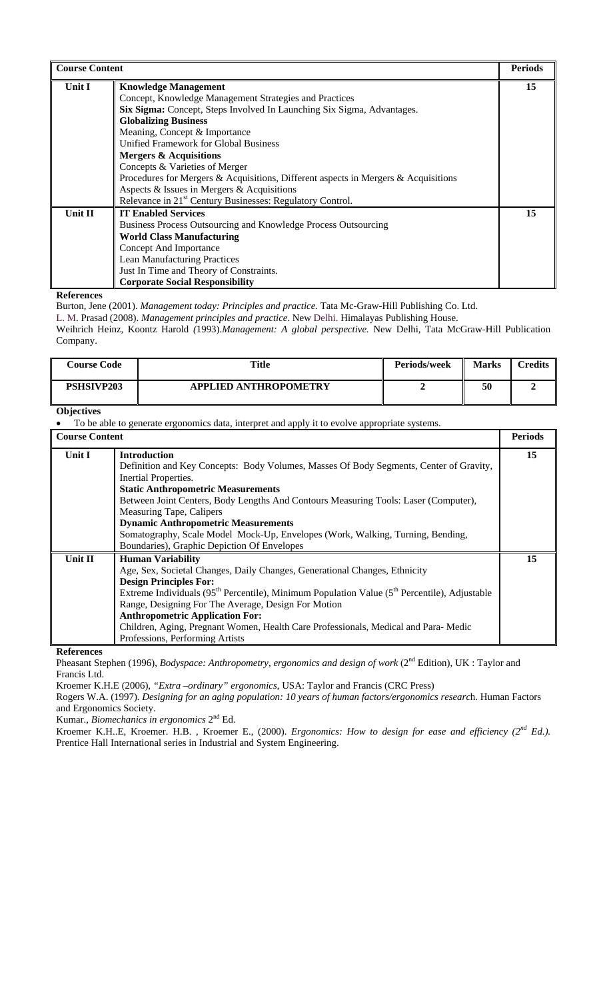| <b>Course Content</b> |                                                                                    | <b>Periods</b> |
|-----------------------|------------------------------------------------------------------------------------|----------------|
| Unit I                | <b>Knowledge Management</b>                                                        | 15             |
|                       | Concept, Knowledge Management Strategies and Practices                             |                |
|                       | Six Sigma: Concept, Steps Involved In Launching Six Sigma, Advantages.             |                |
|                       | <b>Globalizing Business</b>                                                        |                |
|                       | Meaning, Concept & Importance                                                      |                |
|                       | Unified Framework for Global Business                                              |                |
|                       | <b>Mergers &amp; Acquisitions</b>                                                  |                |
|                       | Concepts & Varieties of Merger                                                     |                |
|                       | Procedures for Mergers & Acquisitions, Different aspects in Mergers & Acquisitions |                |
|                       | Aspects & Issues in Mergers & Acquisitions                                         |                |
|                       | Relevance in 21 <sup>st</sup> Century Businesses: Regulatory Control.              |                |
| <b>Unit II</b>        | <b>IT Enabled Services</b>                                                         | 15             |
|                       | Business Process Outsourcing and Knowledge Process Outsourcing                     |                |
|                       | <b>World Class Manufacturing</b>                                                   |                |
|                       | Concept And Importance                                                             |                |
|                       | <b>Lean Manufacturing Practices</b>                                                |                |
|                       | Just In Time and Theory of Constraints.                                            |                |
|                       | <b>Corporate Social Responsibility</b>                                             |                |

Burton, Jene (2001). *Management today: Principles and practice.* Tata Mc-Graw-Hill Publishing Co. Ltd.

L. M. Prasad (2008). *Management principles and practice*. New Delhi. Himalayas Publishing House.

Weihrich Heinz, Koontz Harold *(*1993).*Management: A global perspective.* New Delhi, Tata McGraw-Hill Publication Company.

| <b>Course Code</b> | Title                        | Periods/week | <b>Marks</b> | $\alpha$ redits |
|--------------------|------------------------------|--------------|--------------|-----------------|
| PSHSIVP203         | <b>APPLIED ANTHROPOMETRY</b> |              | 50           |                 |

#### **Objectives**

• To be able to generate ergonomics data, interpret and apply it to evolve appropriate systems.

| <b>Course Content</b> |                                                                                                                                                                                                                                                                                                                                                                                                                                                                                      | <b>Periods</b> |
|-----------------------|--------------------------------------------------------------------------------------------------------------------------------------------------------------------------------------------------------------------------------------------------------------------------------------------------------------------------------------------------------------------------------------------------------------------------------------------------------------------------------------|----------------|
| Unit I                | <b>Introduction</b><br>Definition and Key Concepts: Body Volumes, Masses Of Body Segments, Center of Gravity,<br>Inertial Properties.<br><b>Static Anthropometric Measurements</b><br>Between Joint Centers, Body Lengths And Contours Measuring Tools: Laser (Computer),<br>Measuring Tape, Calipers<br><b>Dynamic Anthropometric Measurements</b><br>Somatography, Scale Model Mock-Up, Envelopes (Work, Walking, Turning, Bending,<br>Boundaries), Graphic Depiction Of Envelopes | 15             |
| Unit II               | <b>Human Variability</b><br>Age, Sex, Societal Changes, Daily Changes, Generational Changes, Ethnicity<br><b>Design Principles For:</b><br>Extreme Individuals ( $95th$ Percentile), Minimum Population Value ( $5th$ Percentile), Adjustable<br>Range, Designing For The Average, Design For Motion<br><b>Anthropometric Application For:</b><br>Children, Aging, Pregnant Women, Health Care Professionals, Medical and Para-Medic<br>Professions, Performing Artists              | 15             |

**References** 

Pheasant Stephen (1996), *Bodyspace: Anthropometry, ergonomics and design of work* (2<sup>nd</sup> Edition), UK : Taylor and Francis Ltd.

Kroemer K.H.E (2006), *"Extra –ordinary" ergonomics*, USA: Taylor and Francis (CRC Press)

Rogers W.A. (1997). *Designing for an aging population: 10 years of human factors/ergonomics researc*h. Human Factors and Ergonomics Society.

Kumar., *Biomechanics in ergonomics* 2nd Ed.

Kroemer K.H..E, Kroemer. H.B. , Kroemer E., (2000). *Ergonomics: How to design for ease and efficiency (2nd Ed.).* Prentice Hall International series in Industrial and System Engineering.